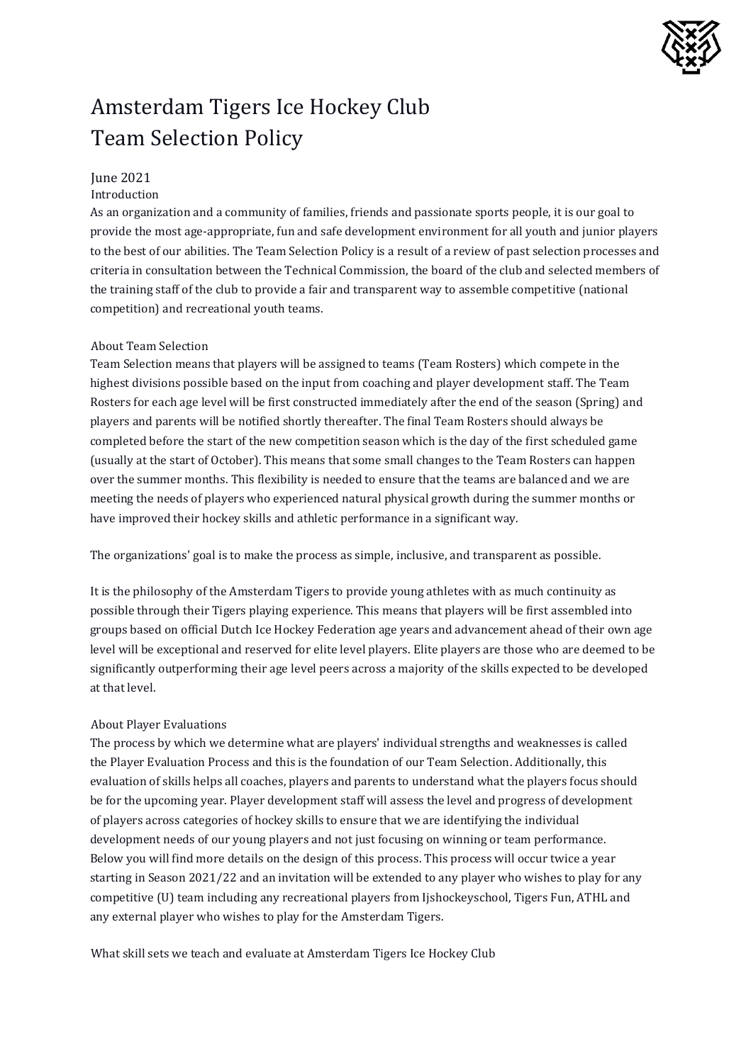

# Amsterdam Tigers Ice Hockey Club Team Selection Policy

## June 2021

#### Introduction

As an organization and a community of families, friends and passionate sports people, it is our goal to provide the most age-appropriate, fun and safe development environment for all youth and junior players to the best of our abilities. The Team Selection Policy is a result of a review of past selection processes and criteria in consultation between the Technical Commission, the board of the club and selected members of the training staff of the club to provide a fair and transparent way to assemble competitive (national competition) and recreational youth teams.

#### About Team Selection

Team Selection means that players will be assigned to teams (Team Rosters) which compete in the highest divisions possible based on the input from coaching and player development staff. The Team Rosters for each age level will be first constructed immediately after the end of the season (Spring) and players and parents will be notified shortly thereafter. The final Team Rosters should always be completed before the start of the new competition season which is the day of the first scheduled game (usually at the start of October). This means that some small changes to the Team Rosters can happen over the summer months. This flexibility is needed to ensure that the teams are balanced and we are meeting the needs of players who experienced natural physical growth during the summer months or have improved their hockey skills and athletic performance in a significant way.

The organizations' goal is to make the process as simple, inclusive, and transparent as possible.

It is the philosophy of the Amsterdam Tigers to provide young athletes with as much continuity as possible through their Tigers playing experience. This means that players will be first assembled into groups based on official Dutch Ice Hockey Federation age years and advancement ahead of their own age level will be exceptional and reserved for elite level players. Elite players are those who are deemed to be significantly outperforming their age level peers across a majority of the skills expected to be developed at that level.

## About Player Evaluations

The process by which we determine what are players' individual strengths and weaknesses is called the Player Evaluation Process and this is the foundation of our Team Selection. Additionally, this evaluation of skills helps all coaches, players and parents to understand what the players focus should be for the upcoming year. Player development staff will assess the level and progress of development of players across categories of hockey skills to ensure that we are identifying the individual development needs of our young players and not just focusing on winning or team performance. Below you will find more details on the design of this process. This process will occur twice a year starting in Season 2021/22 and an invitation will be extended to any player who wishes to play for any competitive (U) team including any recreational players from Ijshockeyschool, Tigers Fun, ATHL and any external player who wishes to play for the Amsterdam Tigers.

What skill sets we teach and evaluate at Amsterdam Tigers Ice Hockey Club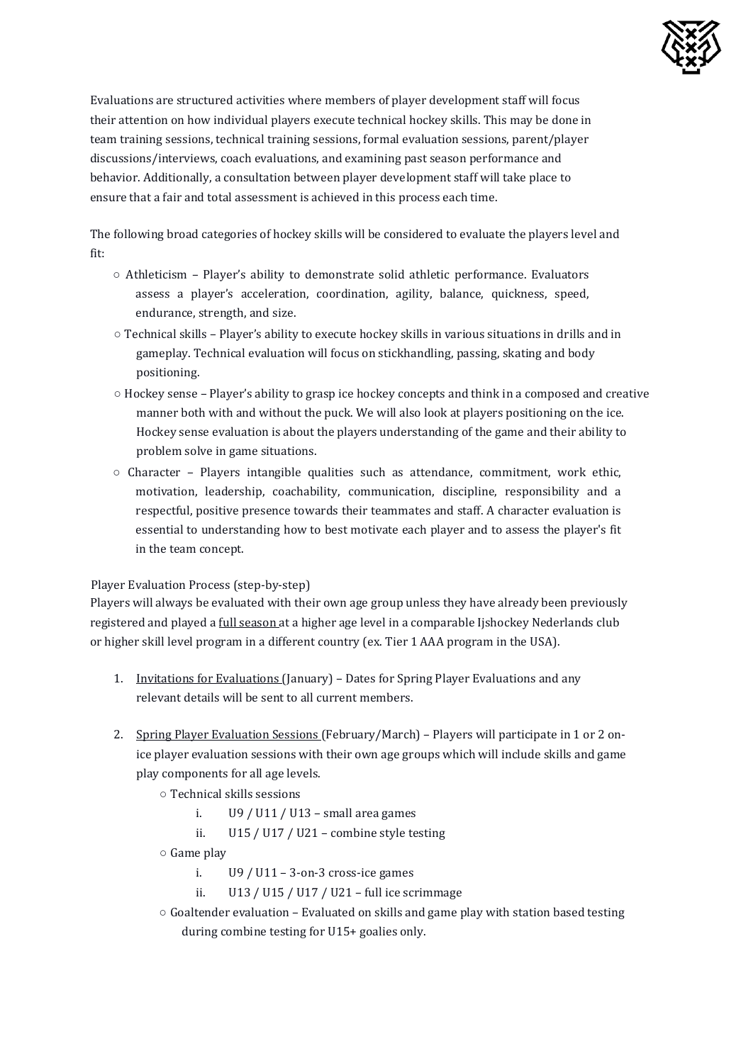

Evaluations are structured activities where members of player development staff will focus their attention on how individual players execute technical hockey skills. This may be done in team training sessions, technical training sessions, formal evaluation sessions, parent/player discussions/interviews, coach evaluations, and examining past season performance and behavior. Additionally, a consultation between player development staff will take place to ensure that a fair and total assessment is achieved in this process each time.

The following broad categories of hockey skills will be considered to evaluate the players level and fit:

- Athleticism Player's ability to demonstrate solid athletic performance. Evaluators assess a player's acceleration, coordination, agility, balance, quickness, speed, endurance, strength, and size.
- Technical skills Player's ability to execute hockey skills in various situations in drills and in gameplay. Technical evaluation will focus on stickhandling, passing, skating and body positioning.
- Hockey sense Player's ability to grasp ice hockey concepts and think in a composed and creative manner both with and without the puck. We will also look at players positioning on the ice. Hockey sense evaluation is about the players understanding of the game and their ability to problem solve in game situations.
- $\circ$  Character Players intangible qualities such as attendance, commitment, work ethic, motivation, leadership, coachability, communication, discipline, responsibility and a respectful, positive presence towards their teammates and staff. A character evaluation is essential to understanding how to best motivate each player and to assess the player's fit in the team concept.

## Player Evaluation Process (step-by-step)

Players will always be evaluated with their own age group unless they have already been previously registered and played a *full season* at a higher age level in a comparable Ijshockey Nederlands club or higher skill level program in a different country (ex. Tier 1 AAA program in the USA).

- 1. Invitations for Evaluations (January) Dates for Spring Player Evaluations and any relevant details will be sent to all current members.
- 2. Spring Player Evaluation Sessions (February/March) Players will participate in 1 or 2 onice player evaluation sessions with their own age groups which will include skills and game play components for all age levels.
	- Technical skills sessions
		- i.  $U9 / U11 / U13$  small area games
		- ii. U15 / U17 / U21 combine style testing
	- Game play
		- i.  $U9 / U11 3$ -on-3 cross-ice games
		- ii. U13 / U15 / U17 / U21 full ice scrimmage
	- Goaltender evaluation Evaluated on skills and game play with station based testing during combine testing for U15+ goalies only.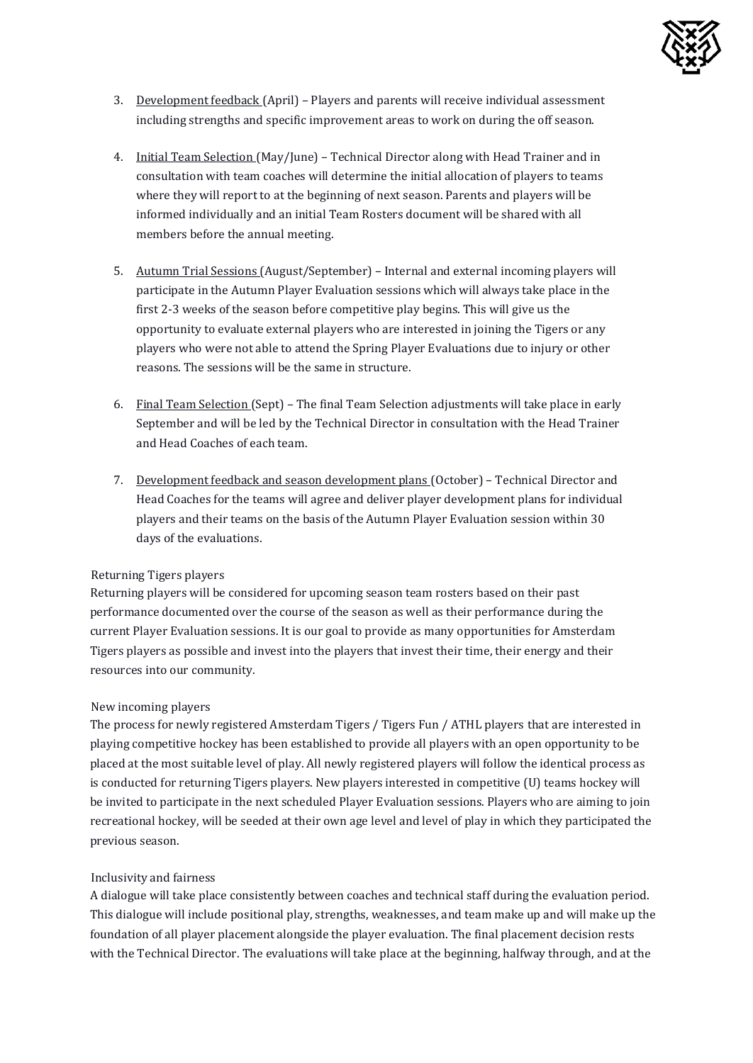

- 3. Development feedback (April) Players and parents will receive individual assessment including strengths and specific improvement areas to work on during the off season.
- 4. Initial Team Selection (May/June) Technical Director along with Head Trainer and in consultation with team coaches will determine the initial allocation of players to teams where they will report to at the beginning of next season. Parents and players will be informed individually and an initial Team Rosters document will be shared with all members before the annual meeting.
- 5. Autumn Trial Sessions (August/September) Internal and external incoming players will participate in the Autumn Player Evaluation sessions which will always take place in the first 2-3 weeks of the season before competitive play begins. This will give us the opportunity to evaluate external players who are interested in joining the Tigers or any players who were not able to attend the Spring Player Evaluations due to injury or other reasons. The sessions will be the same in structure.
- 6. Final Team Selection (Sept) The final Team Selection adjustments will take place in early September and will be led by the Technical Director in consultation with the Head Trainer and Head Coaches of each team.
- 7. Development feedback and season development plans (October) Technical Director and Head Coaches for the teams will agree and deliver player development plans for individual players and their teams on the basis of the Autumn Player Evaluation session within 30 days of the evaluations.

#### Returning Tigers players

Returning players will be considered for upcoming season team rosters based on their past performance documented over the course of the season as well as their performance during the current Player Evaluation sessions. It is our goal to provide as many opportunities for Amsterdam Tigers players as possible and invest into the players that invest their time, their energy and their resources into our community.

#### New incoming players

The process for newly registered Amsterdam Tigers / Tigers Fun / ATHL players that are interested in playing competitive hockey has been established to provide all players with an open opportunity to be placed at the most suitable level of play. All newly registered players will follow the identical process as is conducted for returning Tigers players. New players interested in competitive (U) teams hockey will be invited to participate in the next scheduled Player Evaluation sessions. Players who are aiming to join recreational hockey, will be seeded at their own age level and level of play in which they participated the previous season.

#### Inclusivity and fairness

A dialogue will take place consistently between coaches and technical staff during the evaluation period. This dialogue will include positional play, strengths, weaknesses, and team make up and will make up the foundation of all player placement alongside the player evaluation. The final placement decision rests with the Technical Director. The evaluations will take place at the beginning, halfway through, and at the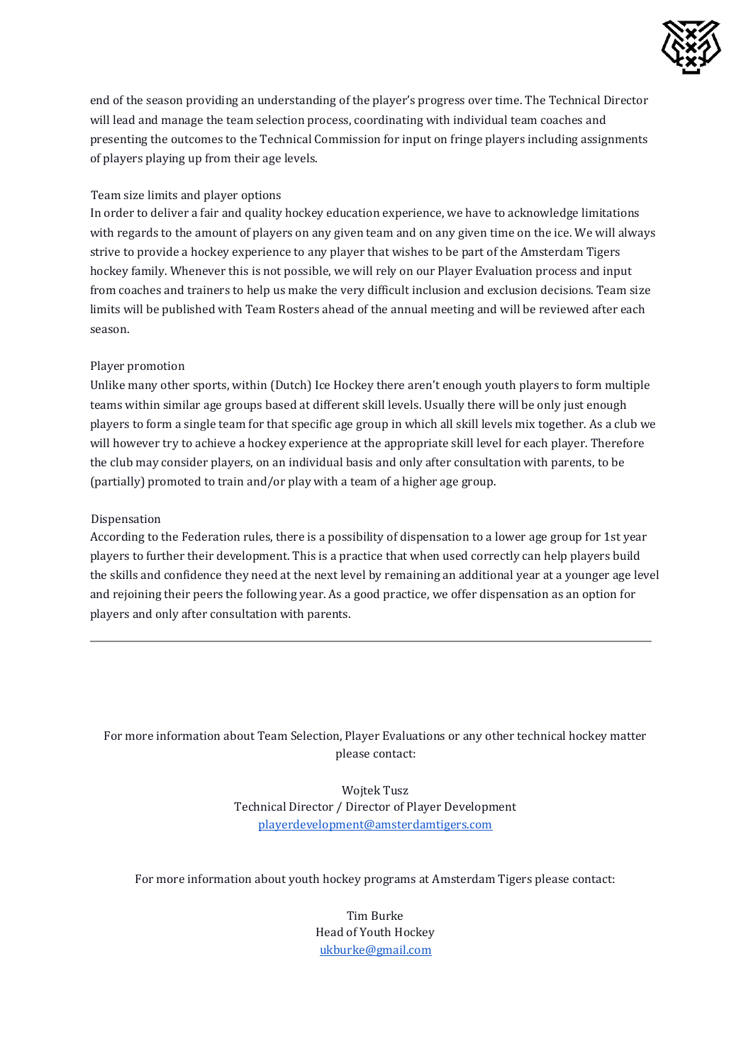

end of the season providing an understanding of the player's progress over time. The Technical Director will lead and manage the team selection process, coordinating with individual team coaches and presenting the outcomes to the Technical Commission for input on fringe players including assignments of players playing up from their age levels.

## Team size limits and player options

In order to deliver a fair and quality hockey education experience, we have to acknowledge limitations with regards to the amount of players on any given team and on any given time on the ice. We will always strive to provide a hockey experience to any player that wishes to be part of the Amsterdam Tigers hockey family. Whenever this is not possible, we will rely on our Player Evaluation process and input from coaches and trainers to help us make the very difficult inclusion and exclusion decisions. Team size limits will be published with Team Rosters ahead of the annual meeting and will be reviewed after each season.

### Player promotion

Unlike many other sports, within (Dutch) Ice Hockey there aren't enough youth players to form multiple teams within similar age groups based at different skill levels. Usually there will be only just enough players to form a single team for that specific age group in which all skill levels mix together. As a club we will however try to achieve a hockey experience at the appropriate skill level for each player. Therefore the club may consider players, on an individual basis and only after consultation with parents, to be (partially) promoted to train and/or play with a team of a higher age group.

#### Dispensation

According to the Federation rules, there is a possibility of dispensation to a lower age group for 1st year players to further their development. This is a practice that when used correctly can help players build the skills and confidence they need at the next level by remaining an additional year at a younger age level and rejoining their peers the following year. As a good practice, we offer dispensation as an option for players and only after consultation with parents.

## For more information about Team Selection, Player Evaluations or any other technical hockey matter please contact:

Wojtek Tusz Technical Director / Director of Player Development playerdevelopment@amsterdamtigers.com

For more information about youth hockey programs at Amsterdam Tigers please contact:

Tim Burke Head of Youth Hockey ukburke@gmail.com